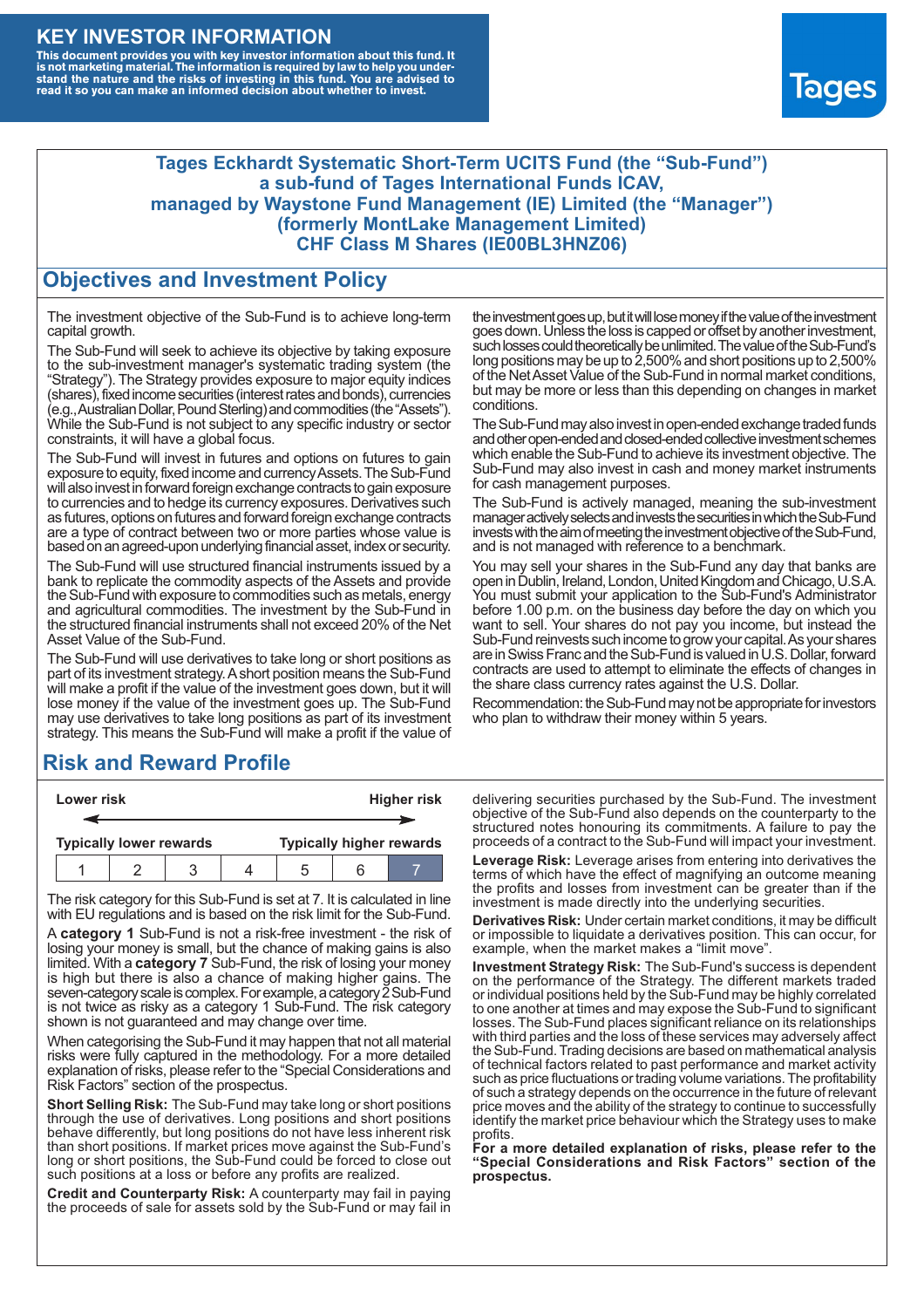#### **KEY INVESTOR INFORMATION**

This document provides you with key investor information about this fund. It<br>is not marketing material. The information is required by law to help you under-<br>stand the nature and the risks of investing in this fund. You ar



#### **Tages Eckhardt Systematic Short-Term UCITS Fund (the "Sub-Fund") a sub-fund of Tages International Funds ICAV, managed by Waystone Fund Management (IE) Limited (the "Manager") (formerly MontLake Management Limited) CHF Class M Shares (IE00BL3HNZ06)**

#### **Objectives and Investment Policy**

The investment objective of the Sub-Fund is to achieve long-term capital growth.

The Sub-Fund will seek to achieve its objective by taking exposure to the sub-investment manager's systematic trading system (the "Strategy"). The Strategy provides exposure to major equity indices (shares),fixed income securities (interest rates and bonds), currencies (e.g.,AustralianDollar,PoundSterling)and commodities (the "Assets"). While the Sub-Fund is not subject to any specific industry or sector constraints, it will have a global focus.

The Sub-Fund will invest in futures and options on futures to gain exposure to equity, fixed income and currency Assets. The Sub-Fund will also invest in forward foreign exchange contracts to gain exposure to currencies and to hedge its currency exposures. Derivatives such as futures, options on futures and forward foreign exchange contracts are a type of contract between two or more parties whose value is based on an agreed-upon underlying financial asset, index or security.

The Sub-Fund will use structured financial instruments issued by a bank to replicate the commodity aspects of the Assets and provide the Sub-Fund with exposure to commodities such as metals, energy and agricultural commodities. The investment by the Sub-Fund in the structured financial instruments shall not exceed 20% of the Net Asset Value of the Sub-Fund.

The Sub-Fund will use derivatives to take long or short positions as part of its investment strategy.A short position means the Sub-Fund will make a profit if the value of the investment goes down, but it will lose money if the value of the investment goes up. The Sub-Fund may use derivatives to take long positions as part of its investment strategy. This means the Sub-Fund will make a profit if the value of

## **Risk and Reward Profile**

| Lower risk                     |  |  |  | <b>Higher risk</b>              |  |  |
|--------------------------------|--|--|--|---------------------------------|--|--|
|                                |  |  |  |                                 |  |  |
| <b>Typically lower rewards</b> |  |  |  | <b>Typically higher rewards</b> |  |  |
|                                |  |  |  | .5                              |  |  |

The risk category for this Sub-Fund is set at 7. It is calculated in line with EU regulations and is based on the risk limit for the Sub-Fund.

A **category 1** Sub-Fund is not a risk-free investment - the risk of losing your money is small, but the chance of making gains is also limited. With a **category 7** Sub-Fund, the risk of losing your money is high but there is also a chance of making higher gains. The seven-category scale is complex. For example, a category 2 Sub-Fund is not twice as risky as a category 1 Sub-Fund. The risk category shown is not guaranteed and may change over time.

When categorising the Sub-Fund it may happen that not all material risks were fully captured in the methodology. For a more detailed explanation of risks, please refer to the "Special Considerations and Risk Factors" section of the prospectus.

**Short Selling Risk:** The Sub-Fund may take long or short positions through the use of derivatives. Long positions and short positions behave differently, but long positions do not have less inherent risk than short positions. If market prices move against the Sub-Fund's long or short positions, the Sub-Fund could be forced to close out such positions at a loss or before any profits are realized.

**Credit and Counterparty Risk:** A counterparty may fail in paying the proceeds of sale for assets sold by the Sub-Fund or may fail in the investment goes up, but it will lose money if the value of the investment goes down. Unlessthe loss is capped or offset by another investment, such losses could theoretically be unlimited. The value of the Sub-Fund's long positions may be up to  $2,500\%$  and short positions up to  $2,500\%$ of the NetAsset Value of the Sub-Fund in normal market conditions, but may be more or less than this depending on changes in market conditions.

The Sub-Fund may also invest in open-ended exchange traded funds and other open-ended and closed-ended collective investment schemes which enable the Sub-Fund to achieve its investment objective. The Sub-Fund may also invest in cash and money market instruments for cash management purposes.

The Sub-Fund is actively managed, meaning the sub-investment manager actively selects and invests the securities in which the Sub-Fund invests with the aim of meeting the investment objective of the Sub-Fund, and is not managed with reference to a benchmark.

You may sell your shares in the Sub-Fund any day that banks are open in Dublin, Ireland, London, United Kingdom and Chicago, U.S.A. You must submit your application to the Sub-Fund's Administrator before 1.00 p.m. on the business day before the day on which you want to sell. Your shares do not pay you income, but instead the Sub-Fund reinvests such income to grow your capital. As your shares are in Swiss Franc and the Sub-Fund is valued in U.S. Dollar, forward contracts are used to attempt to eliminate the effects of changes in the share class currency rates against the U.S. Dollar.

Recommendation: the Sub-Fund may not be appropriate for investors who plan to withdraw their money within 5 years.

delivering securities purchased by the Sub-Fund. The investment objective of the Sub-Fund also depends on the counterparty to the structured notes honouring its commitments. A failure to pay the proceeds of a contract to the Sub-Fund will impact your investment.

**Leverage Risk:** Leverage arises from entering into derivatives the terms of which have the effect of magnifying an outcome meaning the profits and losses from investment can be greater than if the investment is made directly into the underlying securities.

**Derivatives Risk:** Under certain market conditions, it may be difficult or impossible to liquidate a derivatives position. This can occur, for example, when the market makes a "limit move".

**Investment Strategy Risk:** The Sub-Fund's success is dependent on the performance of the Strategy. The different markets traded or individual positions held by the Sub-Fund may be highly correlated to one another at times and may expose the Sub-Fund to significant losses. The Sub-Fund places significant reliance on its relationships with third parties and the loss of these services may adversely affect the Sub-Fund. Trading decisions are based on mathematical analysis of technical factors related to past performance and market activity such as price fluctuations or trading volume variations. The profitability of such a strategy depends on the occurrence in the future of relevant price moves and the ability of the strategy to continue to successfully identify the market price behaviour which the Strategy uses to make profits.

**For a more detailed explanation of risks, please refer to the "Special Considerations and Risk Factors" section of the prospectus.**